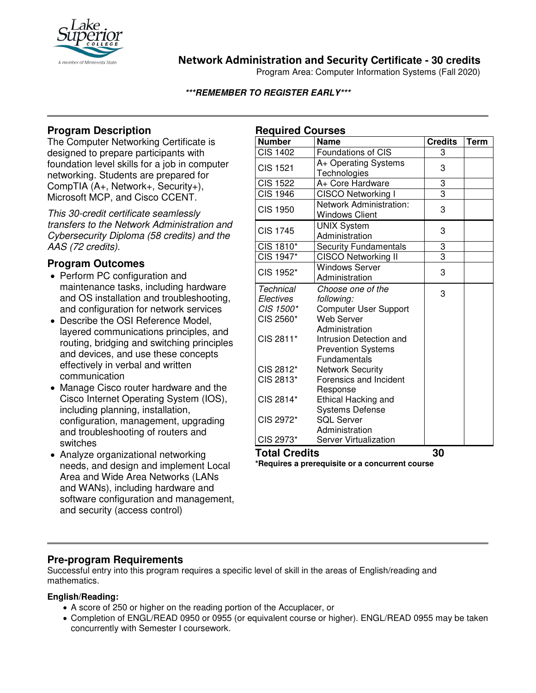

## **Network Administration and Security Certificate - 30 credits**

Program Area: Computer Information Systems (Fall 2020)

#### **\*\*\*REMEMBER TO REGISTER EARLY\*\*\***

## **Program Description**

The Computer Networking Certificate is designed to prepare participants with foundation level skills for a job in computer networking. Students are prepared for CompTIA (A+, Network+, Security+), Microsoft MCP, and Cisco CCENT.

*This 30-credit certificate seamlessly transfers to the Network Administration and Cybersecurity Diploma (58 credits) and the AAS (72 credits).*

### **Program Outcomes**

- Perform PC configuration and maintenance tasks, including hardware and OS installation and troubleshooting, and configuration for network services
- Describe the OSI Reference Model, layered communications principles, and routing, bridging and switching principles and devices, and use these concepts effectively in verbal and written communication
- Manage Cisco router hardware and the Cisco Internet Operating System (IOS), including planning, installation, configuration, management, upgrading and troubleshooting of routers and switches
- Analyze organizational networking needs, and design and implement Local Area and Wide Area Networks (LANs and WANs), including hardware and software configuration and management, and security (access control)

| <b>Required Courses</b> |                              |                |             |
|-------------------------|------------------------------|----------------|-------------|
| <b>Number</b>           | <b>Name</b>                  | <b>Credits</b> | <b>Term</b> |
| <b>CIS 1402</b>         | Foundations of CIS           | 3              |             |
| <b>CIS 1521</b>         | A+ Operating Systems         | 3              |             |
|                         | Technologies                 |                |             |
| <b>CIS 1522</b>         | A+ Core Hardware             | 3              |             |
| <b>CIS 1946</b>         | <b>CISCO Networking I</b>    | $\overline{3}$ |             |
| <b>CIS 1950</b>         | Network Administration:      | 3              |             |
|                         | <b>Windows Client</b>        |                |             |
| <b>CIS 1745</b>         | <b>UNIX System</b>           | 3              |             |
|                         | Administration               |                |             |
| CIS 1810*               | <b>Security Fundamentals</b> | 3              |             |
| CIS 1947*               | <b>CISCO Networking II</b>   | 3              |             |
| CIS 1952*               | <b>Windows Server</b>        | 3              |             |
|                         | Administration               |                |             |
| <b>Technical</b>        | Choose one of the            | 3              |             |
| Electives               | following:                   |                |             |
| CIS 1500*               | <b>Computer User Support</b> |                |             |
| CIS 2560*               | <b>Web Server</b>            |                |             |
| CIS 2811*               | Administration               |                |             |
|                         | Intrusion Detection and      |                |             |
|                         | <b>Prevention Systems</b>    |                |             |
|                         | Fundamentals                 |                |             |
| CIS 2812*               | <b>Network Security</b>      |                |             |
| CIS 2813*               | Forensics and Incident       |                |             |
|                         | Response                     |                |             |
| CIS 2814*               | <b>Ethical Hacking and</b>   |                |             |
|                         | <b>Systems Defense</b>       |                |             |
| CIS 2972*               | <b>SQL Server</b>            |                |             |
|                         | Administration               |                |             |
| CIS 2973*               | <b>Server Virtualization</b> |                |             |
| <b>Total Credits</b>    |                              | 30             |             |

**\*Requires a prerequisite or a concurrent course**

### **Pre-program Requirements**

Successful entry into this program requires a specific level of skill in the areas of English/reading and mathematics.

#### **English/Reading:**

- A score of 250 or higher on the reading portion of the Accuplacer, or
- Completion of ENGL/READ 0950 or 0955 (or equivalent course or higher). ENGL/READ 0955 may be taken concurrently with Semester I coursework.